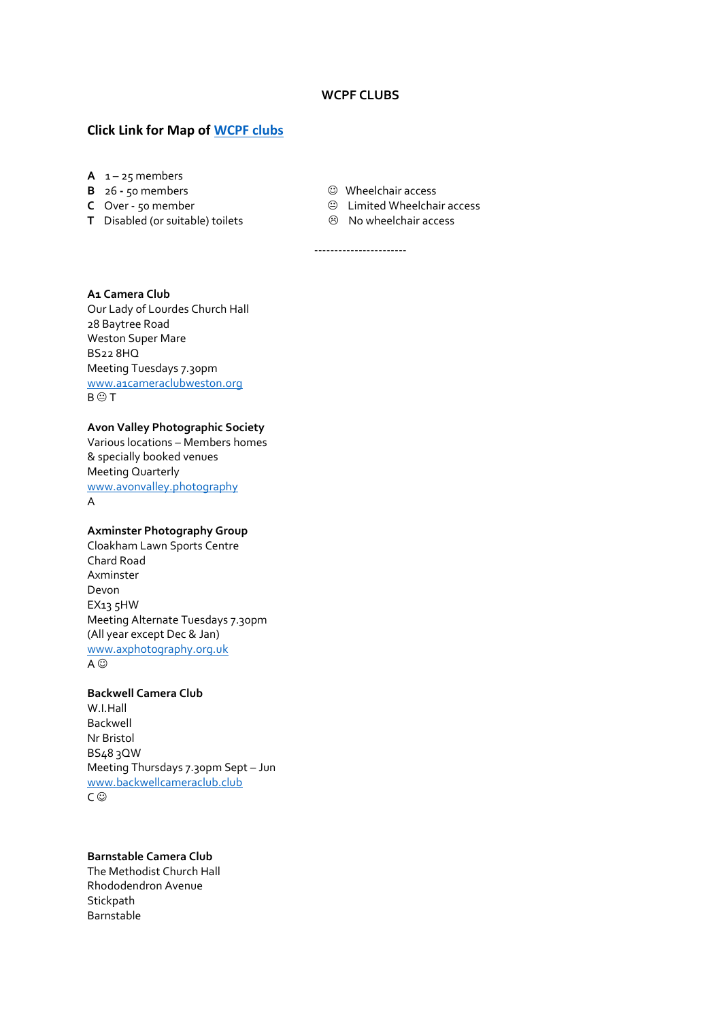### **WCPF CLUBS**

-----------------------

## **Click Link for Map of [WCPF clubs](https://www.google.com/maps/d/u/0/viewer?mid=1MZj8iiV29wNJ-YSoXk6LIM8hR5k&ll=50.919980808664285%2C-3.537683876953127&z=8)**

- A  $1 25$  members
- **B 26 50 members Wheelchair access**<br> **C** Over 50 member **Wheelchair access**<br>  $\Theta$  Limited Wheelcha
- 
- **T** Disabled (or suitable) toilets
- 
- **C** Limited Wheelchair access<br>**C** No wheelchair access
	-

# **A1 Camera Club**

Our Lady of Lourdes Church Hall 28 Baytree Road Weston Super Mare BS22 8HQ Meeting Tuesdays 7.30pm [www.a1cameraclubweston.org](http://www.a1cameraclubweston.org/)  $B \oplus T$ 

### **Avon Valley Photographic Society**

Various locations – Members homes & specially booked venues Meeting Quarterly [www.avonvalley.photography](http://www.avonvalley.photography/) A

# **Axminster Photography Group**

Cloakham Lawn Sports Centre Chard Road Axminster Devon EX13 5HW Meeting Alternate Tuesdays 7.30pm (All year except Dec & Jan) [www.axphotography.org.uk](http://www.axphotography.org.uk/)  $A$  $\odot$ 

## **Backwell Camera Club**

W.I.Hall Backwell Nr Bristol BS48 3QW Meeting Thursdays 7.30pm Sept – Jun [www.backwellcameraclub.club](http://www.backwellcameraclub.club/) C <sup>©</sup>

# **Barnstable Camera Club**

The Methodist Church Hall Rhododendron Avenue **Stickpath** Barnstable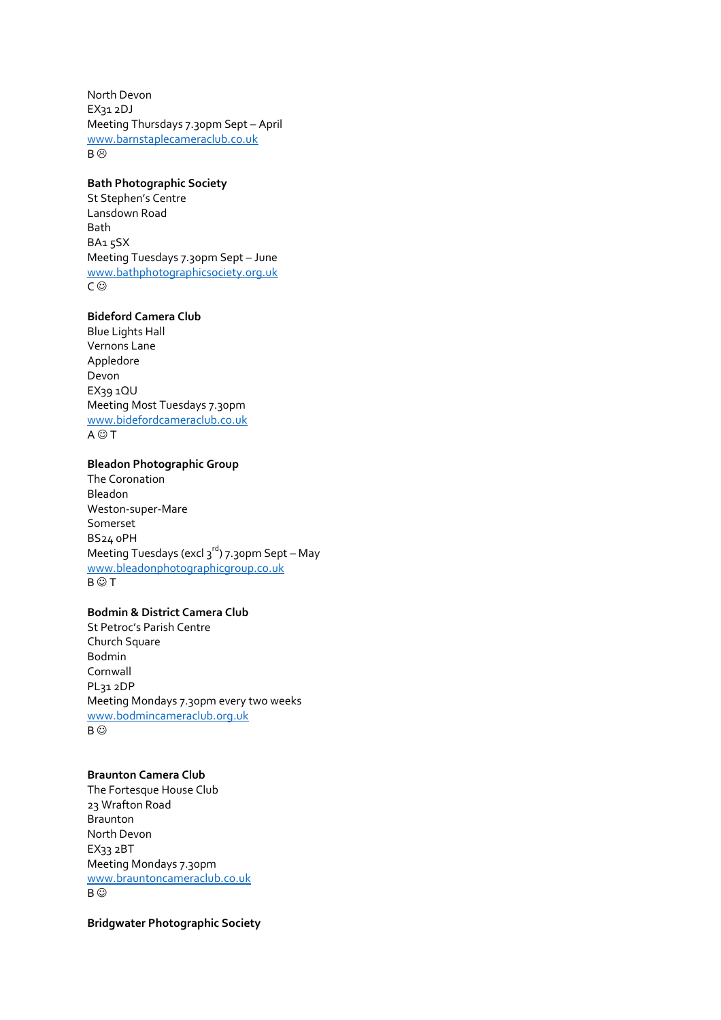North Devon EX31 2DJ Meeting Thursdays 7.30pm Sept – April [www.barnstaplecameraclub.co.uk](http://www.barnstaplecameraclub.co.uk/) B<sup>©</sup>

## **Bath Photographic Society**

St Stephen's Centre Lansdown Road Bath BA<sub>15</sub>SX Meeting Tuesdays 7.30pm Sept – June [www.bathphotographicsociety.org.uk](http://www.bathphotographicsociety.org.uk/) C <sup>©</sup>

## **Bideford Camera Club**

Blue Lights Hall Vernons Lane Appledore Devon EX39 1QU Meeting Most Tuesdays 7.30pm [www.bidefordcameraclub.co.uk](http://www.bidefordcameraclub.co.uk/)  $A \odot T$ 

# **Bleadon Photographic Group**

The Coronation Bleadon Weston-super-Mare Somerset BS24 0PH Meeting Tuesdays (excl  $3^{rd}$ ) 7.30pm Sept – May [www.bleadonphotographicgroup.co.uk](http://www.bleadonphotographicgroup.co.uk/)  $B \odot T$ 

### **Bodmin & District Camera Club**

St Petroc's Parish Centre Church Square Bodmin Cornwall PL31 2DP Meeting Mondays 7.30pm every two weeks [www.bodmincameraclub.org.uk](http://www.bodmincameraclub.org.uk/) B  $\odot$ 

## **Braunton Camera Club**

The Fortesque House Club 23 Wrafton Road Braunton North Devon EX33 2BT Meeting Mondays 7.30pm [www.brauntoncameraclub.co.uk](http://www.brauntoncameraclub.co.uk/) B  $\odot$ 

**Bridgwater Photographic Society**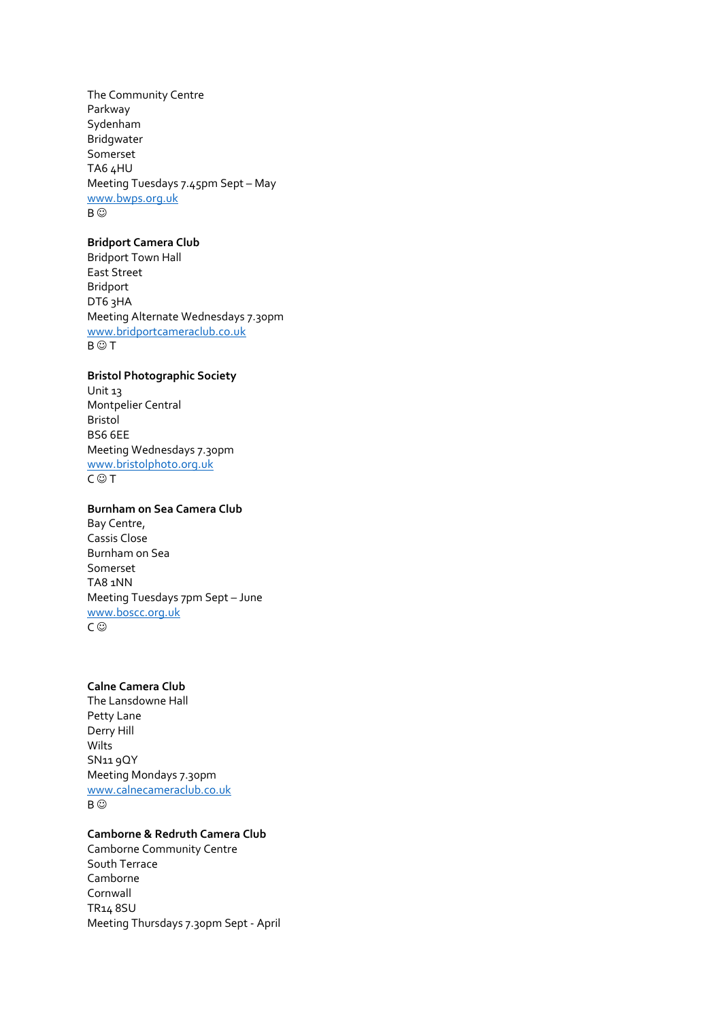The Community Centre Parkway Sydenham Bridgwater Somerset TA6 4HU Meeting Tuesdays 7.45pm Sept – May [www.bwps.org.uk](http://www.bwps.org.uk/) B ©

### **Bridport Camera Club**

Bridport Town Hall East Street Bridport DT6 3HA Meeting Alternate Wednesdays 7.30pm [www.bridportcameraclub.co.uk](http://www.bridportcameraclub.co.uk/)  $B \odot T$ 

### **Bristol Photographic Society**

Unit 13 Montpelier Central Bristol BS6 6EE Meeting Wednesdays 7.30pm [www.bristolphoto.org.uk](http://www.bristolphoto.org.uk/)  $C \odot T$ 

### **Burnham on Sea Camera Club**

Bay Centre, Cassis Close Burnham on Sea Somerset TA8 1NN Meeting Tuesdays 7pm Sept – June [www.boscc.org.uk](http://www.boscc.org.uk/) C ⓒ

# **Calne Camera Club**

The Lansdowne Hall Petty Lane Derry Hill Wilts SN11 9QY Meeting Mondays 7.30pm [www.calnecameraclub.co.uk](http://www.calnecameraclub.co.uk/)  $B$   $\odot$ 

# **Camborne & Redruth Camera Club**

Camborne Community Centre South Terrace Camborne Cornwall TR14 8SU Meeting Thursdays 7.30pm Sept - April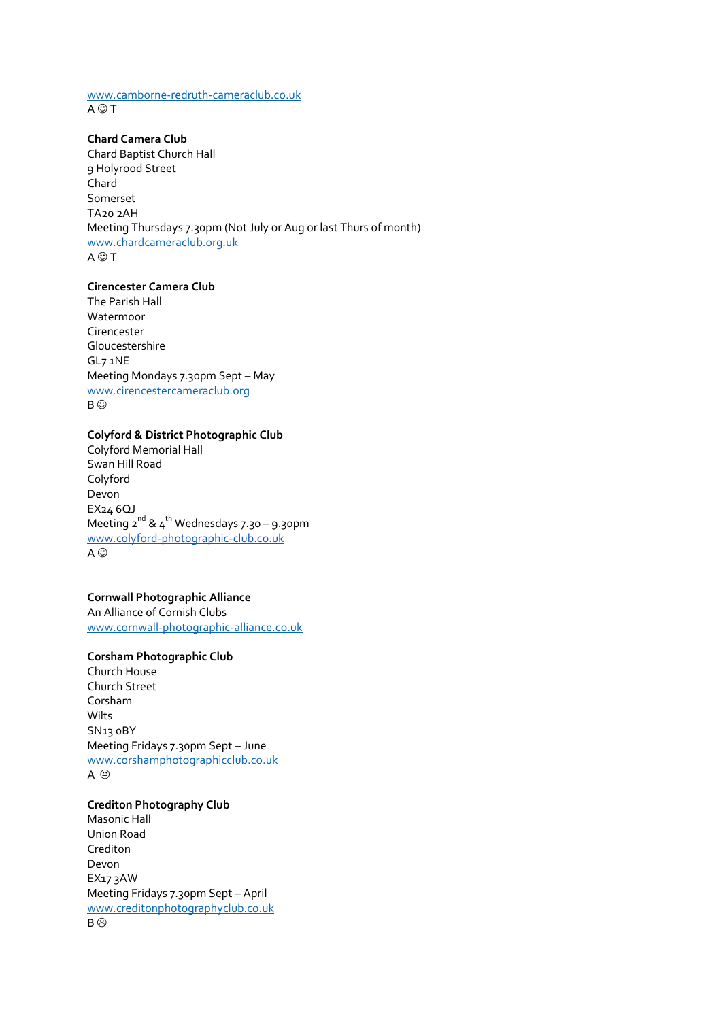#### [www.camborne-redruth-cameraclub.co.uk](http://www.camborne-redruth-cameraclub.co.uk/)  $A \odot T$

## **Chard Camera Club**

Chard Baptist Church Hall 9 Holyrood Street Chard Somerset TA20 2AH Meeting Thursdays 7.30pm (Not July or Aug or last Thurs of month) [www.chardcameraclub.org.uk](http://www.chardcameraclub.org.uk/)  $A \bigcirc T$ 

## **Cirencester Camera Club**

The Parish Hall Watermoor Cirencester Gloucestershire GL7 1NE Meeting Mondays 7.30pm Sept – May [www.cirencestercameraclub.org](http://www.cirencestercameraclub.org/) B ©

### **Colyford & District Photographic Club**

Colyford Memorial Hall Swan Hill Road Colyford Devon EX24 6QJ Meeting  $2^{nd}$  &  $4^{th}$  Wednesdays 7.30 – 9.30pm [www.colyford-photographic-club.co.uk](https://www.colyford-photographic-club.co.uk/) A  $\odot$ 

## **Cornwall Photographic Alliance**

An Alliance of Cornish Clubs [www.cornwall-photographic-alliance.co.uk](http://www.cornwall-photographic-alliance.co.uk/)

# **Corsham Photographic Club**

Church House Church Street Corsham Wilts SN13 0BY Meeting Fridays 7.30pm Sept – June [www.corshamphotographicclub.co.uk](http://www.corshamphotographicclub.co.uk/) A ⊕

# **Crediton Photography Club** Masonic Hall Union Road

Crediton Devon EX17 3AW Meeting Fridays 7.30pm Sept – April [www.creditonphotographyclub.co.uk](http://www.creditonphotographyclub.co.uk/) B<sup>®</sup>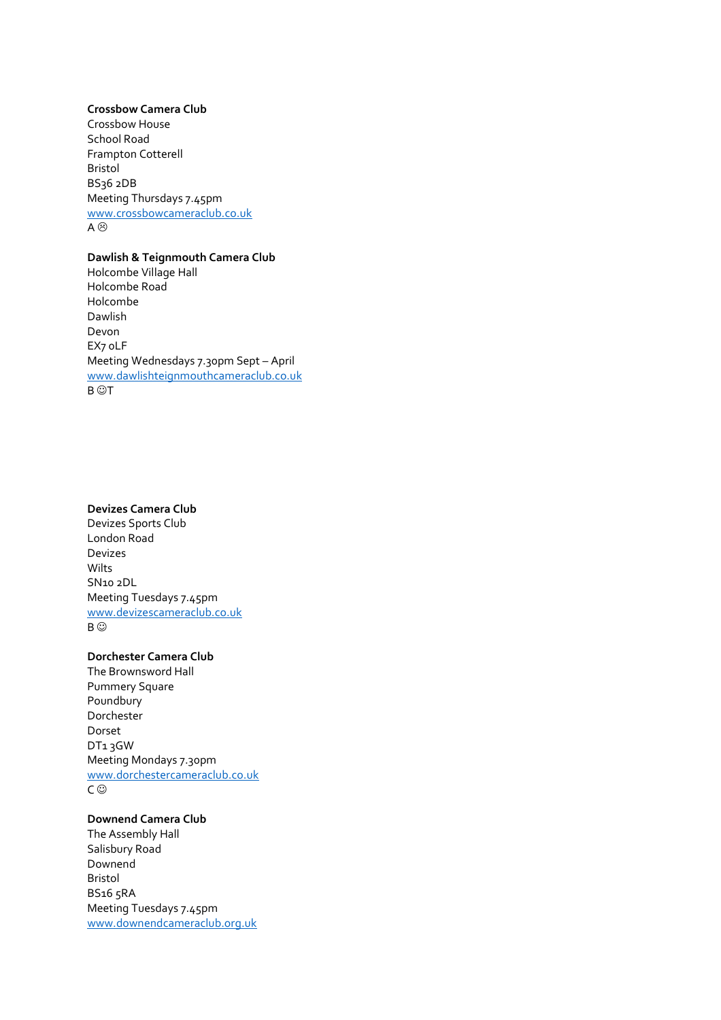### **Crossbow Camera Club**

Crossbow House School Road Frampton Cotterell Bristol BS36 2DB Meeting Thursdays 7.45pm [www.crossbowcameraclub.co.uk](http://www.crossbowcameraclub.co.uk/) A  $\odot$ 

### **Dawlish & Teignmouth Camera Club**

Holcombe Village Hall Holcombe Road Holcombe Dawlish Devon EX7 0LF Meeting Wednesdays 7.30pm Sept – April [www.dawlishteignmouthcameraclub.co.uk](http://www.dawlishteignmouthcameraclub.co.uk/) **B** ©T

### **Devizes Camera Club**

Devizes Sports Club London Road Devizes Wilts SN10 2DL Meeting Tuesdays 7.45pm [www.devizescameraclub.co.uk](http://www.devizescameraclub.co.uk/) B ©

# **Dorchester Camera Club**

The Brownsword Hall Pummery Square Poundbury Dorchester Dorset DT1 3GW Meeting Mondays 7.30pm [www.dorchestercameraclub.co.uk](http://www.dorchestercameraclub.co.uk/) C ⓒ

# **Downend Camera Club**

The Assembly Hall Salisbury Road Downend Bristol BS16 5RA Meeting Tuesdays 7.45pm [www.downendcameraclub.org.uk](http://www.downendcameraclub.org.uk/)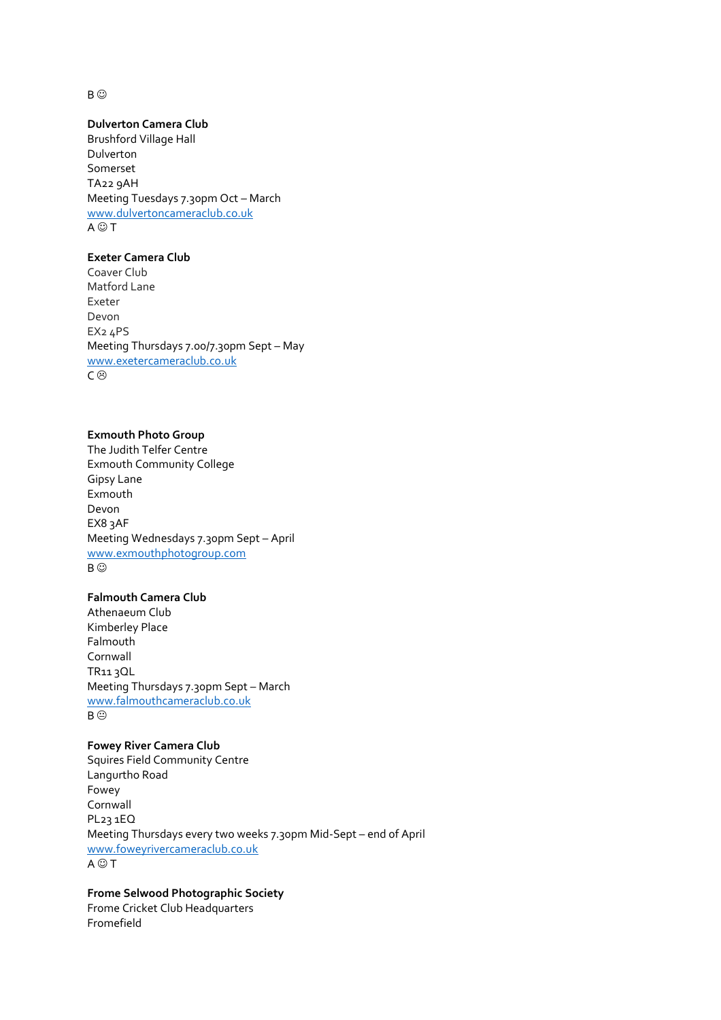B ⓒ

### **Dulverton Camera Club**

Brushford Village Hall Dulverton Somerset TA22 9AH Meeting Tuesdays 7.30pm Oct – March [www.dulvertoncameraclub.co.uk](http://www.dulvertoncameraclub.co.uk/)  $A \odot T$ 

# **Exeter Camera Club**

Coaver Club Matford Lane Exeter Devon EX2 4PS Meeting Thursdays 7.00/7.30pm Sept – May [www.exetercameraclub.co.uk](http://www.exetercameraclub.co.uk/) C<sup>3</sup>

### **Exmouth Photo Group**

The Judith Telfer Centre Exmouth Community College Gipsy Lane Exmouth Devon EX8 3AF Meeting Wednesdays 7.30pm Sept – April [www.exmouthphotogroup.com](http://www.exmouthphotogroup.com/) B ⓒ

# **Falmouth Camera Club**

Athenaeum Club Kimberley Place Falmouth Cornwall TR11 3QL Meeting Thursdays 7.30pm Sept – March [www.falmouthcameraclub.co.uk](http://www.falmouthcameraclub.co.uk/) B<sup>e</sup>

# **Fowey River Camera Club**

Squires Field Community Centre Langurtho Road Fowey Cornwall PL23 1EQ Meeting Thursdays every two weeks 7.30pm Mid-Sept – end of April [www.foweyrivercameraclub.co.uk](http://www.foweyrivercameraclub.co.uk/)  $A \odot T$ 

# **Frome Selwood Photographic Society**

Frome Cricket Club Headquarters Fromefield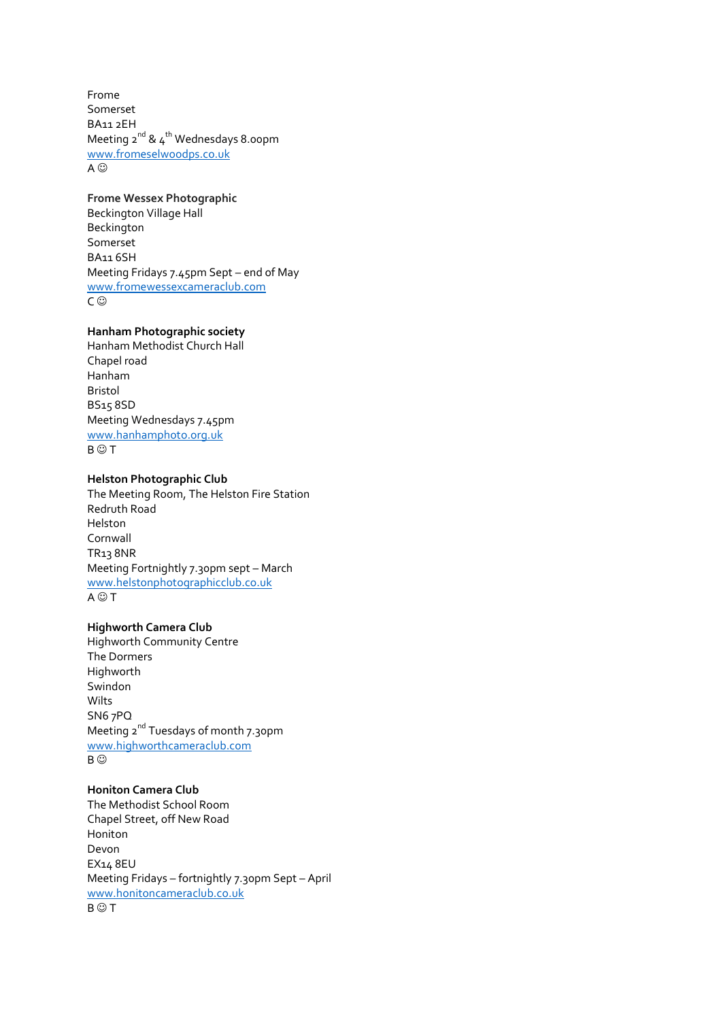Frome Somerset BA11 2EH Meeting  $2^{nd}$  &  $4^{th}$  Wednesdays 8.00pm [www.fromeselwoodps.co.uk](http://www.fromeselwoodps.co.uk/) A  $\odot$ 

**Frome Wessex Photographic** Beckington Village Hall Beckington Somerset BA11 6SH Meeting Fridays 7.45pm Sept – end of May [www.fromewessexcameraclub.com](http://www.fromewessexcameraclub.com/) C ⓒ

## **Hanham Photographic society**

Hanham Methodist Church Hall Chapel road Hanham Bristol BS15 8SD Meeting Wednesdays 7.45pm [www.hanhamphoto.org.uk](http://www.hanhamphoto.org.uk/)  $B \odot T$ 

### **Helston Photographic Club**

The Meeting Room, The Helston Fire Station Redruth Road Helston Cornwall TR13 8NR Meeting Fortnightly 7.30pm sept – March [www.helstonphotographicclub.co.uk](http://www.helstonphotographicclub.co.uk/)  $A \bigcirc T$ 

### **Highworth Camera Club**

Highworth Community Centre The Dormers Highworth Swindon Wilts SN6 7PQ Meeting 2<sup>nd</sup> Tuesdays of month 7.30pm [www.highworthcameraclub.com](http://www.highworthcameraclub.com/) B ©

## **Honiton Camera Club**

The Methodist School Room Chapel Street, off New Road Honiton Devon EX14 8EU Meeting Fridays – fortnightly 7.30pm Sept – April [www.honitoncameraclub.co.uk](http://www.honitoncameraclub.co.uk/)  $B \odot T$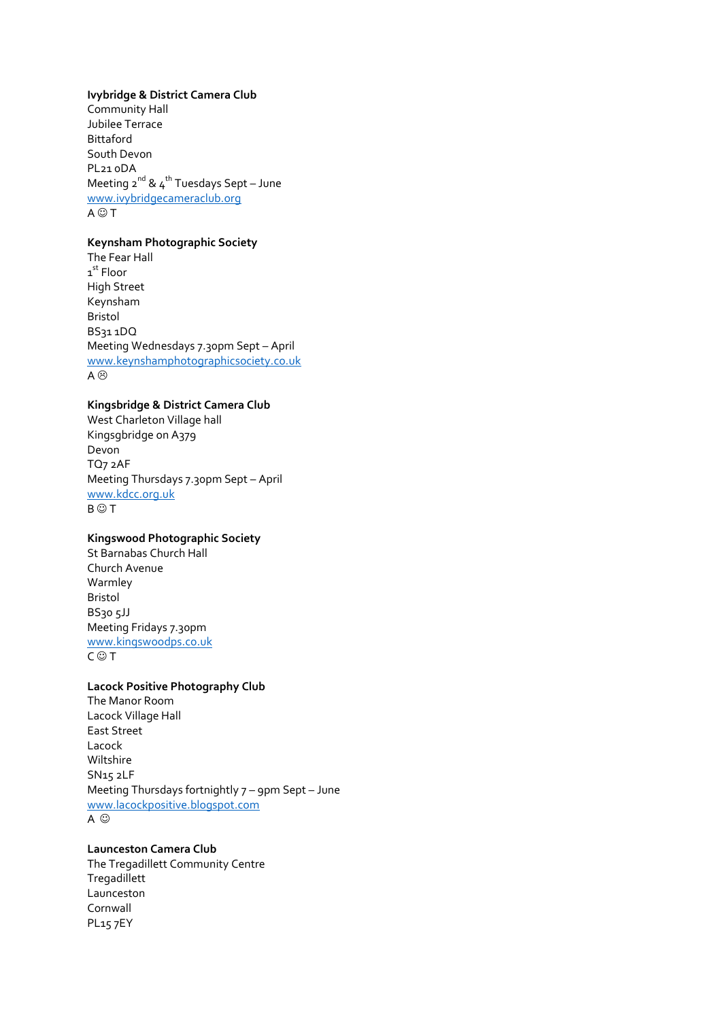#### **Ivybridge & District Camera Club**

Community Hall Jubilee Terrace Bittaford South Devon PL21 0DA Meeting  $2^{nd}$  &  $4^{th}$  Tuesdays Sept – June [www.ivybridgecameraclub.org](http://www.ivybridgecameraclub.org/)  $A \bigcirc T$ 

## **Keynsham Photographic Society**

The Fear Hall 1<sup>st</sup> Floor High Street Keynsham Bristol BS31 1DQ Meeting Wednesdays 7.30pm Sept – April [www.keynshamphotographicsociety.co.uk](http://www.keynshamphotographicsociety.co.uk/) A <sup>⊙</sup>

## **Kingsbridge & District Camera Club**

West Charleton Village hall Kingsgbridge on A379 Devon TQ7 2AF Meeting Thursdays 7.30pm Sept – April [www.kdcc.org.uk](http://www.kdcc.org.uk/)  $B \odot T$ 

# **Kingswood Photographic Society**

St Barnabas Church Hall Church Avenue Warmley Bristol BS30 5JJ Meeting Fridays 7.30pm [www.kingswoodps.co.uk](http://www.kingswoodps.co.uk/)  $C \odot T$ 

## **Lacock Positive Photography Club**

The Manor Room Lacock Village Hall East Street Lacock Wiltshire SN15 2LF Meeting Thursdays fortnightly 7 – 9pm Sept – June [www.lacockpositive.blogspot.com](http://www.lacockpositive.blogspot.com/) A  $\odot$ 

# **Launceston Camera Club**

The Tregadillett Community Centre Tregadillett Launceston Cornwall PL15 7EY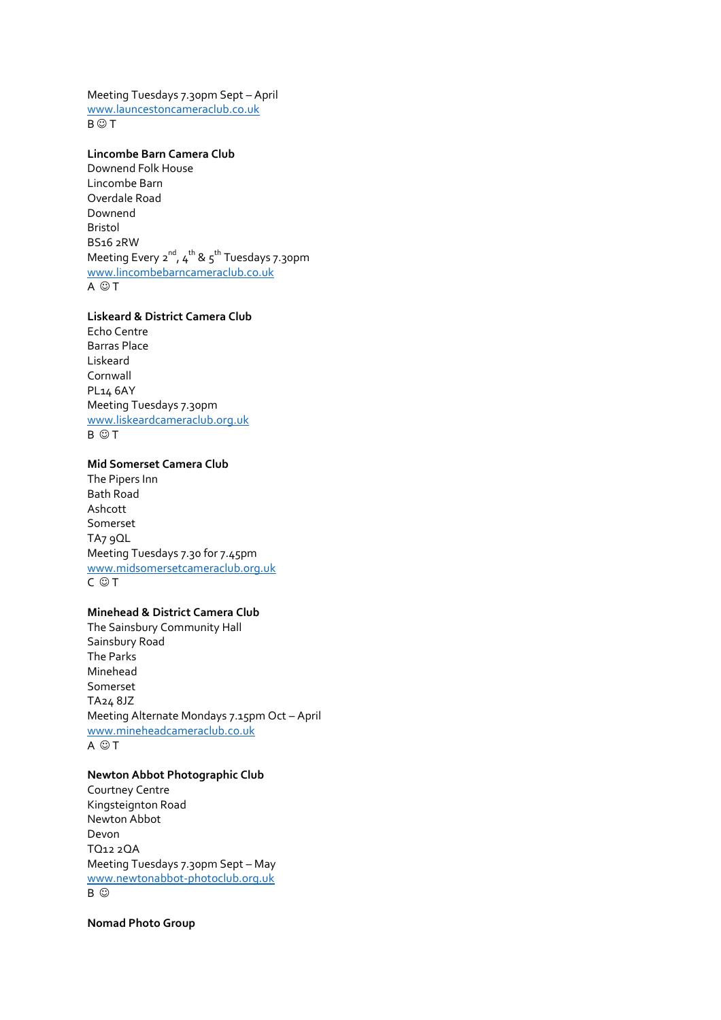Meeting Tuesdays 7.30pm Sept – April [www.launcestoncameraclub.co.uk](http://www.launcestoncameraclub.co.uk/)  $B \odot T$ 

# **Lincombe Barn Camera Club**

Downend Folk House Lincombe Barn Overdale Road Downend Bristol BS16 2RW Meeting Every 2<sup>nd</sup>, 4<sup>th</sup> & 5<sup>th</sup> Tuesdays 7.30pm [www.lincombebarncameraclub.co.uk](http://www.lincombebarncameraclub.co.uk/)  $A \odot T$ 

# **Liskeard & District Camera Club**

Echo Centre Barras Place Liskeard Cornwall PL14 6AY Meeting Tuesdays 7.30pm [www.liskeardcameraclub.org.uk](http://www.liskeardcameraclub.org.uk/)  $B$   $\odot$  T

### **Mid Somerset Camera Club**

The Pipers Inn Bath Road Ashcott Somerset TA7 9QL Meeting Tuesdays 7.30 for 7.45pm [www.midsomersetcameraclub.org.uk](http://www.midsomersetcameraclub.org.uk/)  $C \odot T$ 

### **Minehead & District Camera Club**

The Sainsbury Community Hall Sainsbury Road The Parks Minehead Somerset TA24 8JZ Meeting Alternate Mondays 7.15pm Oct – April [www.mineheadcameraclub.co.uk](http://www.mineheadcameraclub.co.uk/)  $A \odot T$ 

## **Newton Abbot Photographic Club**

Courtney Centre Kingsteignton Road Newton Abbot Devon TQ12 2QA Meeting Tuesdays 7.30pm Sept – May [www.newtonabbot-photoclub.org.uk](http://www.newtonabbot-photoclub.org.uk/) B  $\odot$ 

**Nomad Photo Group**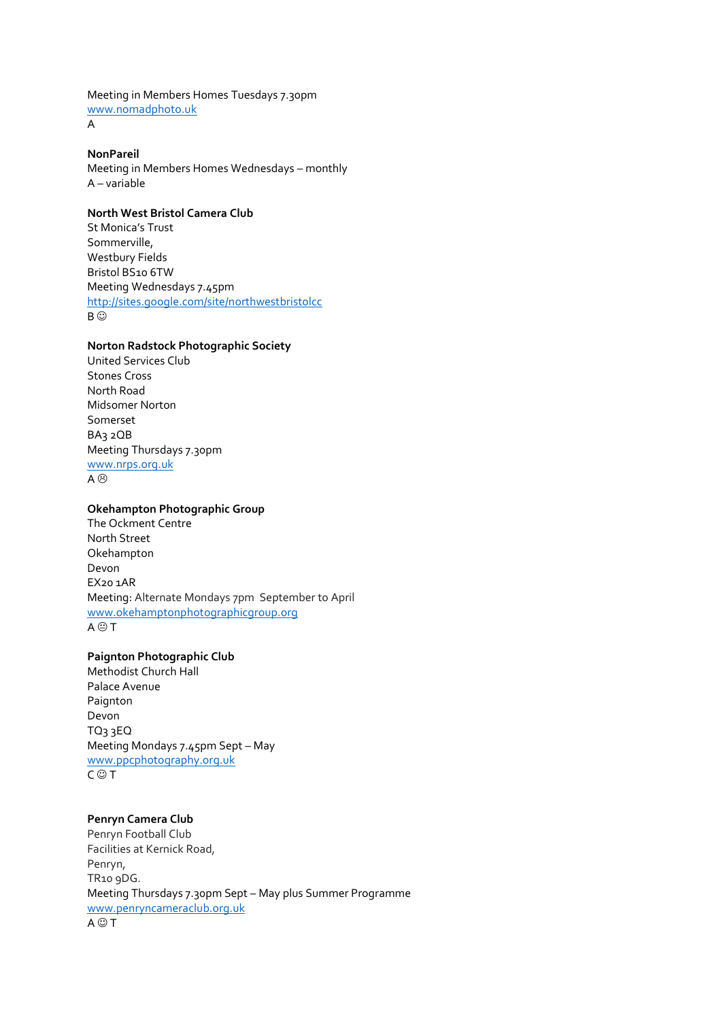Meeting in Members Homes Tuesdays 7.30pm [www.nomadphoto.uk](http://www.nomadphoto.uk/) A

**NonPareil**

Meeting in Members Homes Wednesdays – monthly A – variable

## **North West Bristol Camera Club**

St Monica's Trust Sommerville, Westbury Fields Bristol BS10 6TW Meeting Wednesdays 7.45pm <http://sites.google.com/site/northwestbristolcc> B ©

### **Norton Radstock Photographic Society**

United Services Club Stones Cross North Road Midsomer Norton Somerset BA3 2QB Meeting Thursdays 7.30pm [www.nrps.org.uk](http://www.nrps.org.uk/)  $A \otimes$ 

### **Okehampton Photographic Group**

The Ockment Centre North Street Okehampton Devon EX20 1AR Meeting: Alternate Mondays 7pm September to April [www.okehamptonphotographicgroup.org](http://www.okehamptoncameraclub.org/)  $A \oplus T$ 

# **Paignton Photographic Club**

Methodist Church Hall Palace Avenue Paignton Devon TQ3 3EQ Meeting Mondays 7.45pm Sept – May [www.ppcphotography.org.uk](http://www.ppcphotography.org.uk/)  $C \odot T$ 

## **Penryn Camera Club**

Penryn Football Club Facilities at Kernick Road, Penryn, TR10 9DG. Meeting Thursdays 7.30pm Sept – May plus Summer Programme [www.penryncameraclub.org.uk](http://www.penryncameraclub.org.uk/)  $A \bigcirc T$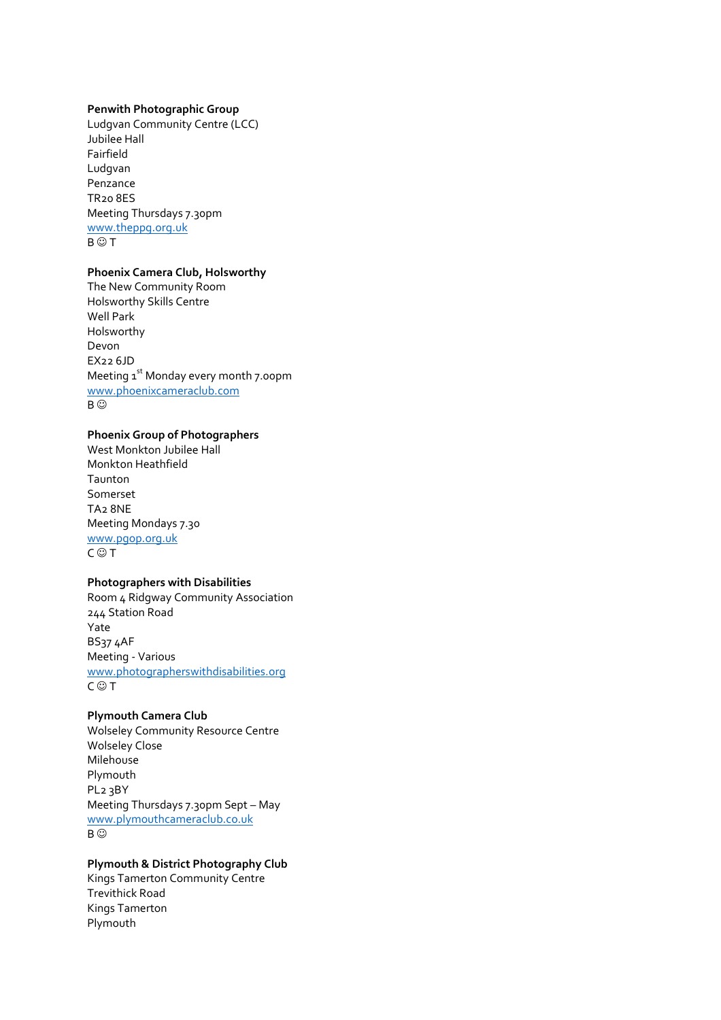#### **Penwith Photographic Group**

Ludgvan Community Centre (LCC) Jubilee Hall Fairfield Ludgvan Penzance TR20 8ES Meeting Thursdays 7.30pm [www.theppg.org.uk](http://www.theppg.org.uk/)  $B \odot T$ 

# **Phoenix Camera Club, Holsworthy**

The New Community Room Holsworthy Skills Centre Well Park Holsworthy Devon EX22 6JD Meeting 1<sup>st</sup> Monday every month 7.00pm [www.phoenixcameraclub.com](http://www.phoenixcameraclub.com/) B ©

### **Phoenix Group of Photographers**

West Monkton Jubilee Hall Monkton Heathfield Taunton Somerset TA2 8NE Meeting Mondays 7.30 [www.pgop.org.uk](http://www.pgop.org.uk/)  $C \odot T$ 

## **Photographers with Disabilities**

Room 4 Ridgway Community Association 244 Station Road Yate BS37 4AF Meeting - Various [www.photographerswithdisabilities.org](http://www.photographerswithdisabilities.org/)  $C \odot T$ 

### **Plymouth Camera Club**

Wolseley Community Resource Centre Wolseley Close Milehouse Plymouth PL2 3BY Meeting Thursdays 7.30pm Sept – May [www.plymouthcameraclub.co.uk](http://www.plymouthcameraclub.co.uk/) B ©

## **Plymouth & District Photography Club**

Kings Tamerton Community Centre Trevithick Road Kings Tamerton Plymouth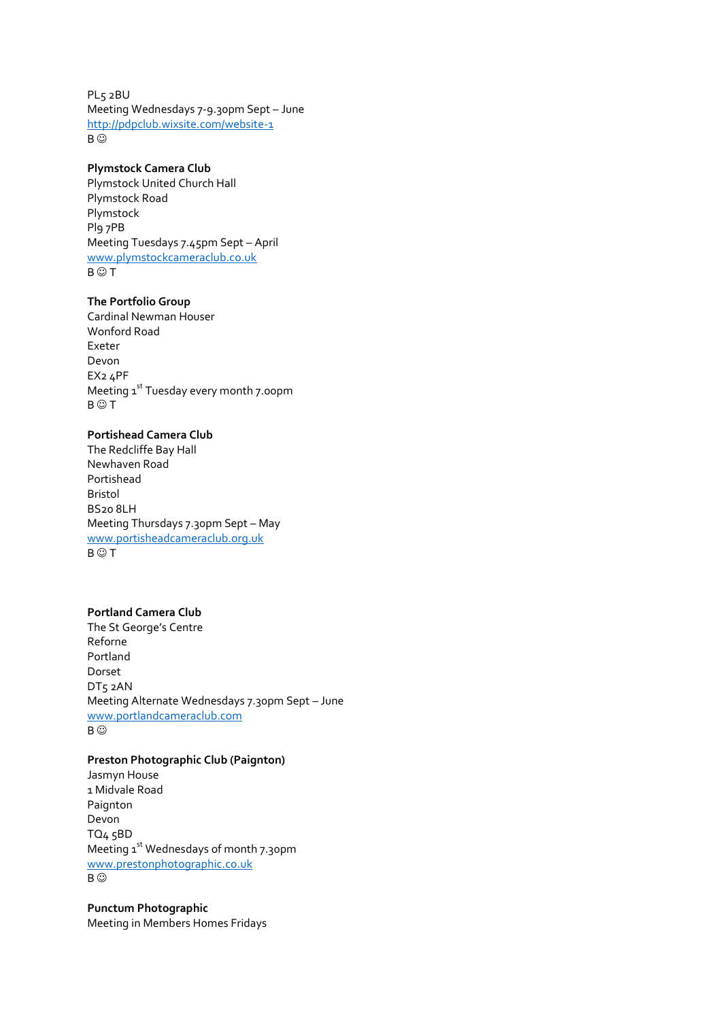PL5 2BU Meeting Wednesdays 7-9.30pm Sept – June <http://pdpclub.wixsite.com/website-1> B ©

## **Plymstock Camera Club**

Plymstock United Church Hall Plymstock Road Plymstock Pl9 7PB Meeting Tuesdays 7.45pm Sept – April [www.plymstockcameraclub.co.uk](http://www.plymstockcameraclub.co.uk/)  $B \odot T$ 

### **The Portfolio Group**

Cardinal Newman Houser Wonford Road Exeter Devon EX2 4PF Meeting 1st Tuesday every month 7.00pm  $B \odot T$ 

# **Portishead Camera Club**

The Redcliffe Bay Hall Newhaven Road Portishead Bristol BS20 8LH Meeting Thursdays 7.30pm Sept – May [www.portisheadcameraclub.org.uk](http://www.portisheadcameraclub.org.uk/)  $B \odot T$ 

## **Portland Camera Club**

The St George's Centre Reforne Portland Dorset DT5 2AN Meeting Alternate Wednesdays 7.30pm Sept – June [www.portlandcameraclub.com](http://www.portlandcameraclub.com/) B  $\odot$ 

## **Preston Photographic Club (Paignton)**

Jasmyn House 1 Midvale Road Paignton Devon TQ4 5BD Meeting 1<sup>st</sup> Wednesdays of month 7.30pm [www.prestonphotographic.co.uk](http://www.prestonphotographic.co.uk/)  $B \circledcirc$ 

**Punctum Photographic** Meeting in Members Homes Fridays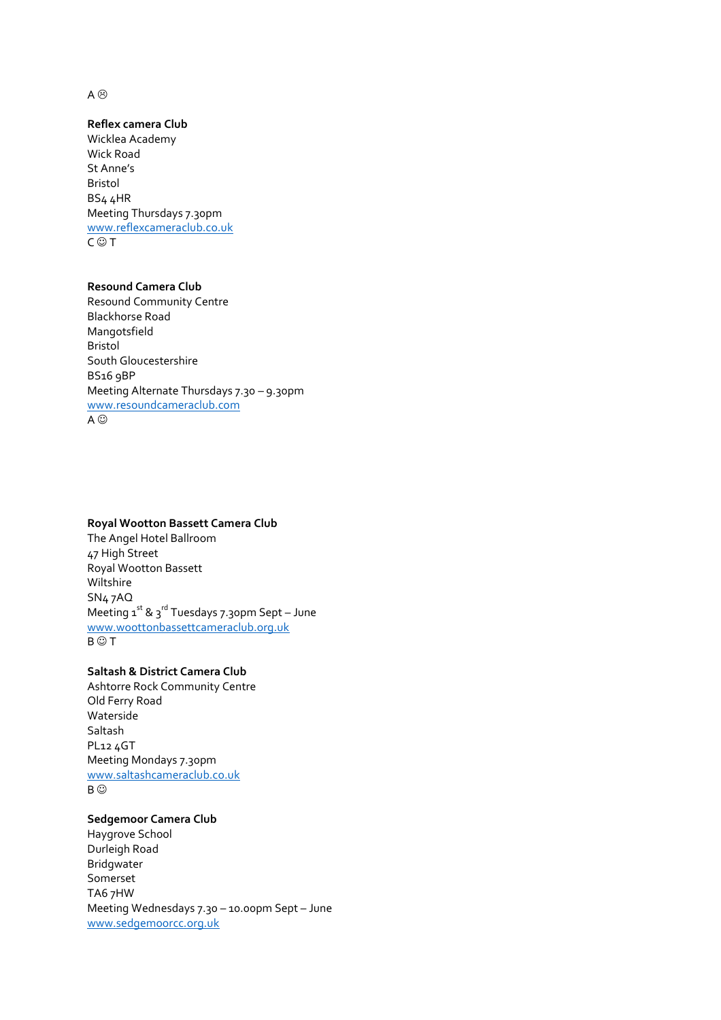A  $\odot$ 

## **Reflex camera Club**

Wicklea Academy Wick Road St Anne's Bristol BS4 4HR Meeting Thursdays 7.30pm [www.reflexcameraclub.co.uk](http://www.reflexcameraclub.co.uk/)  $C \odot T$ 

## **Resound Camera Club**

Resound Community Centre Blackhorse Road Mangotsfield Bristol South Gloucestershire BS16 9BP Meeting Alternate Thursdays 7.30 – 9.30pm [www.resoundcameraclub.com](http://www.resoundcameraclub.com/) A  $\odot$ 

### **Royal Wootton Bassett Camera Club**

The Angel Hotel Ballroom 47 High Street Royal Wootton Bassett Wiltshire SN4 7AQ Meeting  $1^{st}$  &  $3^{rd}$  Tuesdays 7.30pm Sept – June [www.woottonbassettcameraclub.org.uk](http://www.woottonbassettcameraclub.org.uk/)  $B \odot T$ 

# **Saltash & District Camera Club**

Ashtorre Rock Community Centre Old Ferry Road Waterside Saltash PL12 4GT Meeting Mondays 7.30pm [www.saltashcameraclub.co.uk](http://www.saltashcameraclub.co.uk/) B ©

# **Sedgemoor Camera Club**

Haygrove School Durleigh Road Bridgwater Somerset TA6 7HW Meeting Wednesdays 7.30 – 10.00pm Sept – June [www.sedgemoorcc.org.uk](http://www.sedgemoorcc.org.uk/)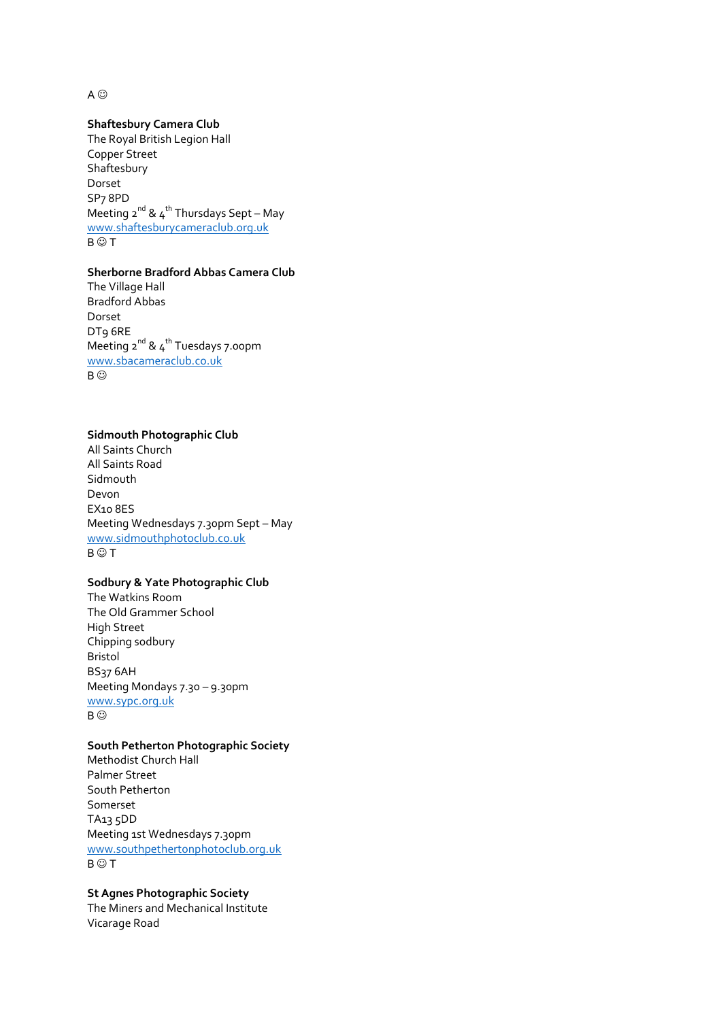A  $\odot$ 

## **Shaftesbury Camera Club**

The Royal British Legion Hall Copper Street Shaftesbury Dorset SP7 8PD Meeting  $2^{nd}$  &  $4^{th}$  Thursdays Sept – May [www.shaftesburycameraclub.org.uk](http://www.shaftesburycameraclub.org.uk/)  $B \odot T$ 

### **Sherborne Bradford Abbas Camera Club**

The Village Hall Bradford Abbas Dorset DT9 6RE Meeting  $2^{nd}$  &  $4^{th}$  Tuesdays 7.00pm [www.sbacameraclub.co.uk](http://www.sbacameraclub.co.uk/) B ©

#### **Sidmouth Photographic Club**

All Saints Church All Saints Road Sidmouth Devon EX10 8ES Meeting Wednesdays 7.30pm Sept – May [www.sidmouthphotoclub.co.uk](http://www.sidmouthphotoclub.co.uk/)  $B \odot T$ 

# **Sodbury & Yate Photographic Club**

The Watkins Room The Old Grammer School High Street Chipping sodbury Bristol BS37 6AH Meeting Mondays 7.30 – 9.30pm [www.sypc.org.uk](http://www.sypc.org.uk/) B ©

### **South Petherton Photographic Society**

Methodist Church Hall Palmer Street South Petherton Somerset TA13 5DD Meeting 1st Wednesdays 7.30pm [www.southpethertonphotoclub.org.uk](http://www.southpethertonphotoclub.org.uk/)  $B \odot T$ 

### **St Agnes Photographic Society**

The Miners and Mechanical Institute Vicarage Road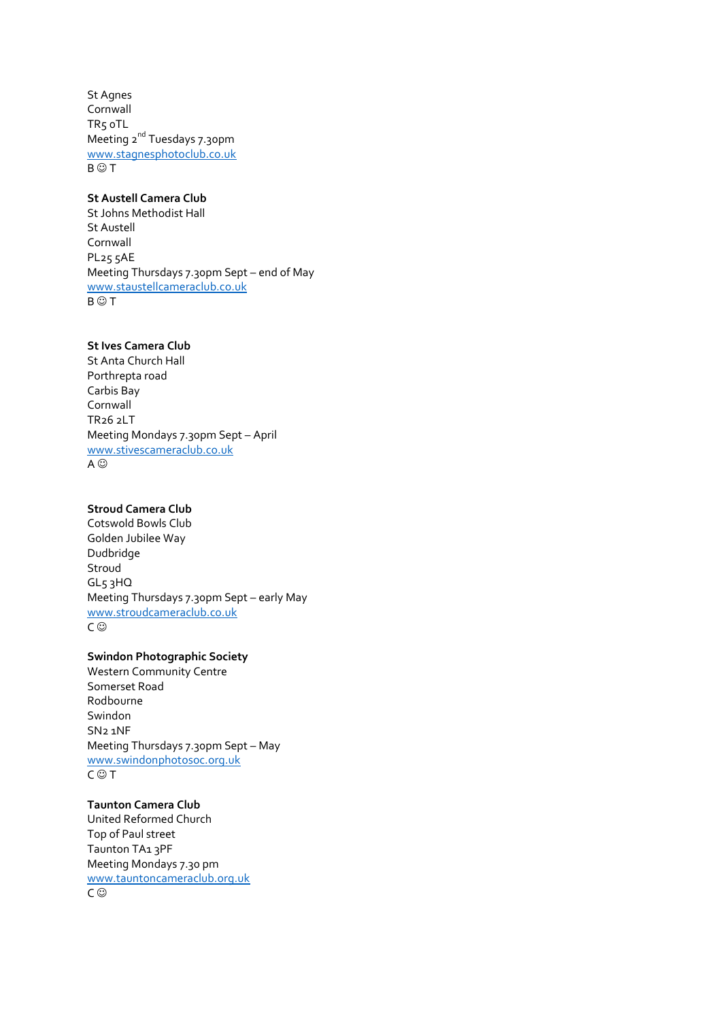St Agnes Cornwall TR5 0TL Meeting 2<sup>nd</sup> Tuesdays 7.30pm [www.stagnesphotoclub.co.uk](http://www.stagnesphotoclub.co.uk/)  $B \odot T$ 

# **St Austell Camera Club**

St Johns Methodist Hall St Austell Cornwall PL25 5AE Meeting Thursdays 7.30pm Sept – end of May [www.staustellcameraclub.co.uk](http://www.staustellcameraclub.co.uk/)  $B \odot T$ 

# **St Ives Camera Club**

St Anta Church Hall Porthrepta road Carbis Bay Cornwall TR26 2LT Meeting Mondays 7.30pm Sept – April [www.stivescameraclub.co.uk](http://www.stivescameraclub.co.uk/) A ⓒ

# **Stroud Camera Club**

Cotswold Bowls Club Golden Jubilee Way Dudbridge Stroud GL5 3HQ Meeting Thursdays 7.30pm Sept – early May [www.stroudcameraclub.co.uk](http://www.stroudcameraclub.co.uk/) C ⓒ

# **Swindon Photographic Society**

Western Community Centre Somerset Road Rodbourne Swindon SN2 1NF Meeting Thursdays 7.30pm Sept – May [www.swindonphotosoc.org.uk](http://www.swindonphotosoc.org.uk/)  $C \odot T$ 

**Taunton Camera Club** United Reformed Church Top of Paul street Taunton TA<sub>13</sub>PF Meeting Mondays 7.30 pm [www.tauntoncameraclub.org.uk](http://www.tauntoncameraclub.org.uk/) C ⓒ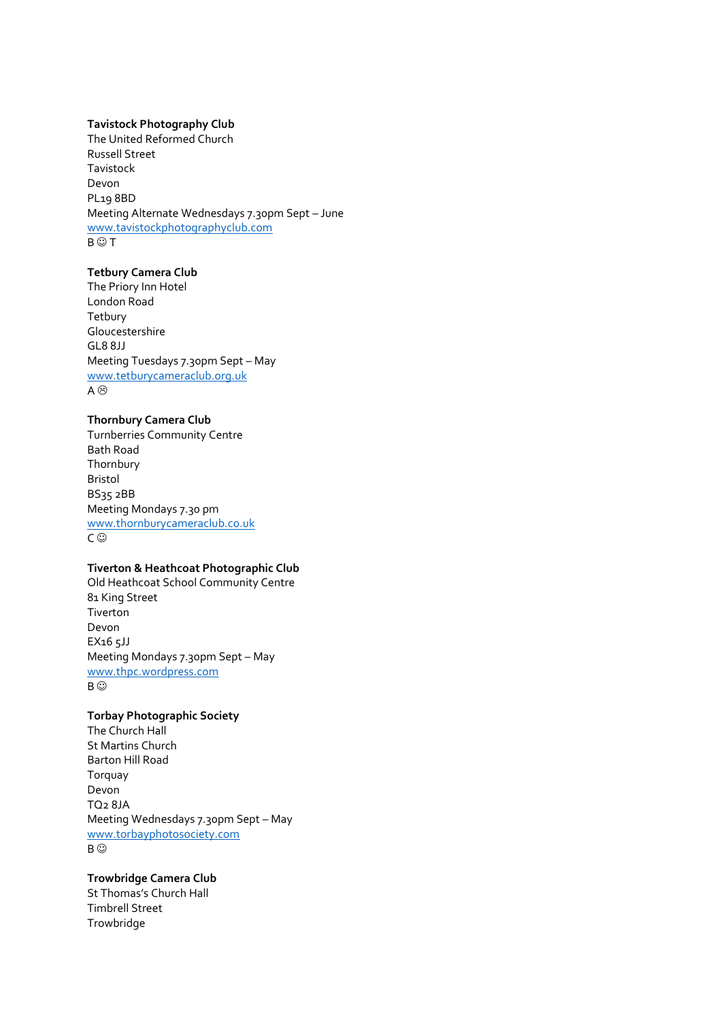### **Tavistock Photography Club**

The United Reformed Church Russell Street Tavistock Devon PL19 8BD Meeting Alternate Wednesdays 7.30pm Sept – June [www.tavistockphotographyclub.com](http://www.tavistockphotographyclub.com/)  $B \odot T$ 

# **Tetbury Camera Club**

The Priory Inn Hotel London Road **Tetbury** Gloucestershire GL8 8JJ Meeting Tuesdays 7.30pm Sept – May [www.tetburycameraclub.org.uk](http://www.tetburycameraclub.org.uk/) A  $\odot$ 

# **Thornbury Camera Club**

Turnberries Community Centre Bath Road Thornbury Bristol BS35 2BB Meeting Mondays 7.30 pm [www.thornburycameraclub.co.uk](http://www.thornburycameraclub.co.uk/) C <sup>©</sup>

## **Tiverton & Heathcoat Photographic Club**

Old Heathcoat School Community Centre 81 King Street Tiverton Devon EX16 5JJ Meeting Mondays 7.30pm Sept – May [www.thpc.wordpress.com](http://www.thpc.wordpress.com/) B ©

# **Torbay Photographic Society**

The Church Hall St Martins Church Barton Hill Road Torquay Devon TQ2 8JA Meeting Wednesdays 7.30pm Sept – May [www.torbayphotosociety.com](http://www.torbayphotosociety.com/) B <sup>©</sup>

## **Trowbridge Camera Club**

St Thomas's Church Hall Timbrell Street **Trowbridge**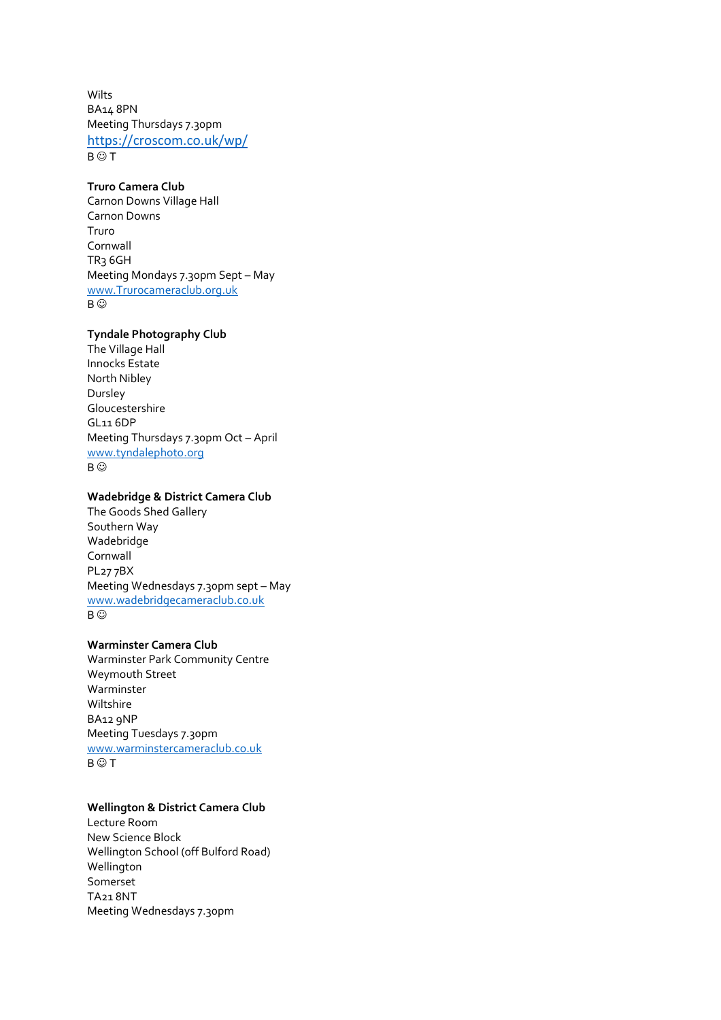Wilts BA14 8PN Meeting Thursdays 7.30pm <https://croscom.co.uk/wp/>  $B \odot T$ 

# **Truro Camera Club**

Carnon Downs Village Hall Carnon Downs Truro Cornwall TR3 6GH Meeting Mondays 7.30pm Sept – May [www.Trurocameraclub.org.uk](http://www.trurocameraclub.org.uk/) B ©

### **Tyndale Photography Club**

The Village Hall Innocks Estate North Nibley Dursley Gloucestershire GL11 6DP Meeting Thursdays 7.30pm Oct – April [www.tyndalephoto.org](http://www.tyndalephoto.org/) B ©

## **Wadebridge & District Camera Club**

The Goods Shed Gallery Southern Way Wadebridge Cornwall PL27 7BX Meeting Wednesdays 7.30pm sept – May [www.wadebridgecameraclub.co.uk](http://www.wadebridgecameraclub.co.uk/) B ©

# **Warminster Camera Club**

Warminster Park Community Centre Weymouth Street Warminster Wiltshire BA12 9NP Meeting Tuesdays 7.30pm [www.warminstercameraclub.co.uk](http://www.warminstercameraclub.co.uk/)  $B \odot T$ 

# **Wellington & District Camera Club**

Lecture Room New Science Block Wellington School (off Bulford Road) Wellington Somerset TA21 8NT Meeting Wednesdays 7.30pm